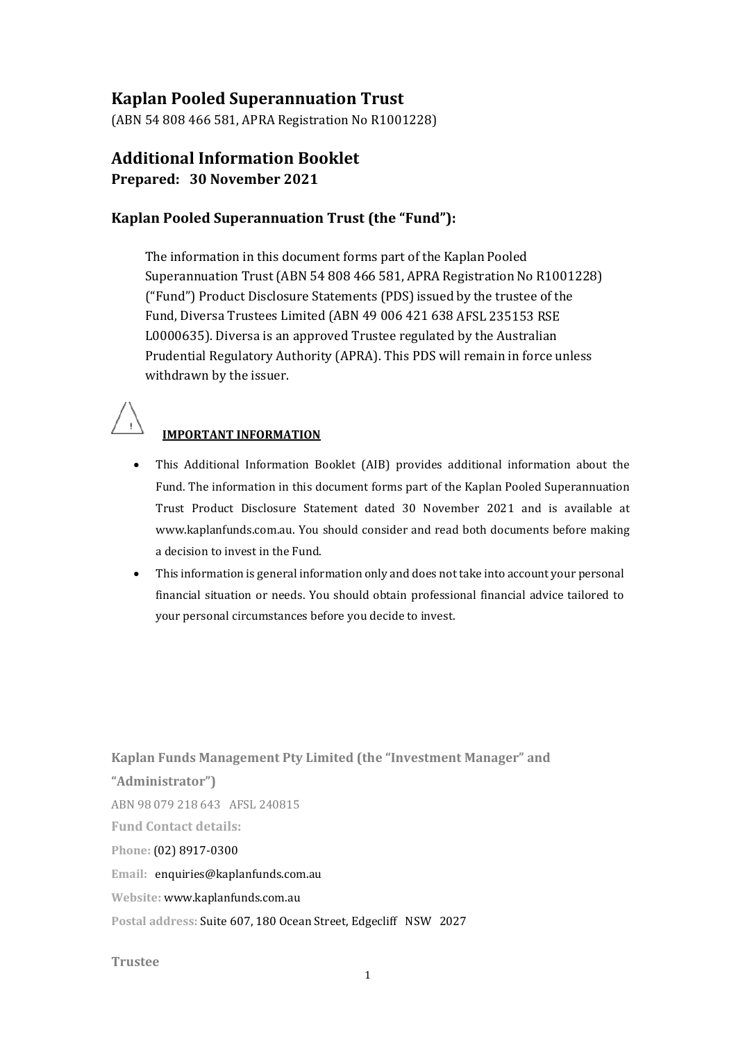# **Kaplan Pooled Superannuation Trust**

(ABN 54 808 466 581, APRA Registration No R1001228)

# **Additional Information Booklet Prepared: 30 November 2021**

## **Kaplan Pooled Superannuation Trust (the "Fund"):**

The information in this document forms part of the Kaplan Pooled Superannuation Trust (ABN 54 808 466 581, APRA Registration No R1001228) ("Fund") Product Disclosure Statements (PDS) issued by the trustee of the Fund, Diversa Trustees Limited (ABN 49 006 421 638 AFSL 235153 RSE L0000635). Diversa is an approved Trustee regulated by the Australian Prudential Regulatory Authority (APRA). This PDS will remain in force unless withdrawn by the issuer.



## **IMPORTANT INFORMATION**

- This Additional Information Booklet (AIB) provides additional information about the Fund. The information in this document forms part of the Kaplan Pooled Superannuation Trust Product Disclosure Statement dated 30 November 2021 and is available a[t](http://www.kaplanfunds.com.au/) [www.kaplanfunds.com.a](http://www.kaplanfunds.com.au/)u. You should consider and read both documents before making a decision to invest in the Fund.
- This information is general information only and does not take into account your personal financial situation or needs. You should obtain professional financial advice tailored to your personal circumstances before you decide to invest.

**Kaplan Funds Management Pty Limited (the "Investment Manager" and "Administrator")** ABN 98 079 218 643 AFSL 240815 **Fund Contact details: Phone:** (02) 8917‐0300 **Email:** [enquiries@kaplanfunds.com.au](mailto:enquiries@kaplanfunds.com.au) **Website:** [www.kaplanfunds](http://www.kaplanfunds.com.au/).com.au **Postal address:** Suite 607, 180 Ocean Street, Edgecliff NSW 2027

#### **Trustee**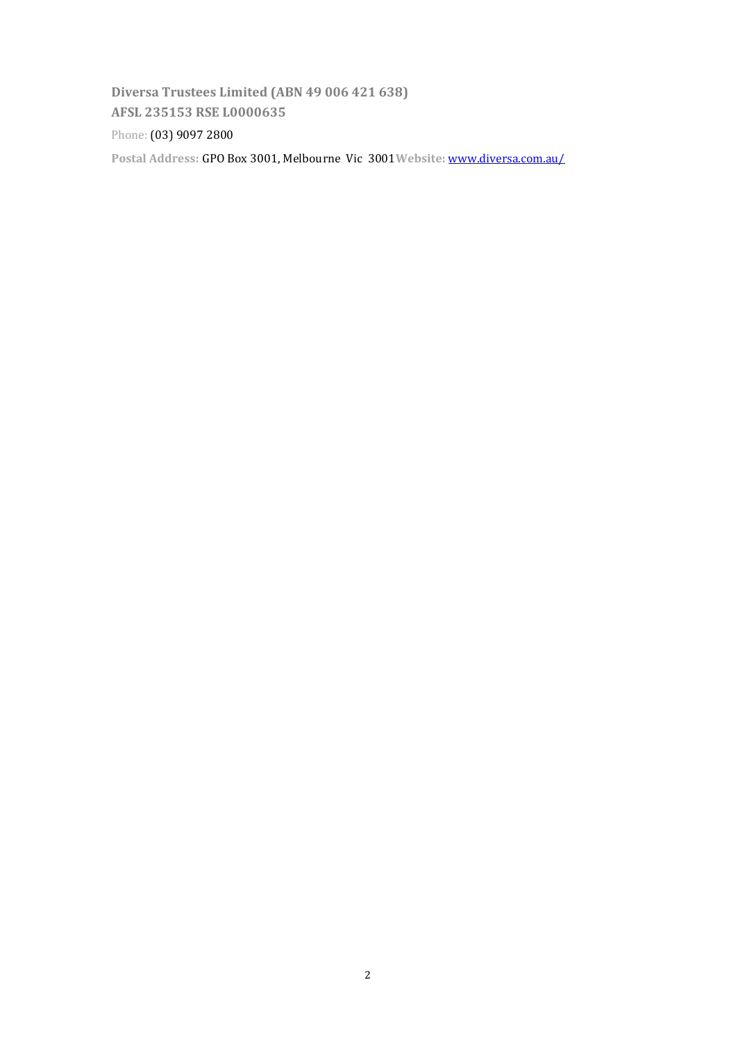**Diversa Trustees Limited (ABN 49 006 421 638) AFSL 235153 RSE L0000635**

Phone: (03) 9097 2800

**Postal Address:** GPO Box 3001, Melbourne Vic 3001**Website:** [www.diversa.com.au/](http://www.diversa.com.au/Trustee)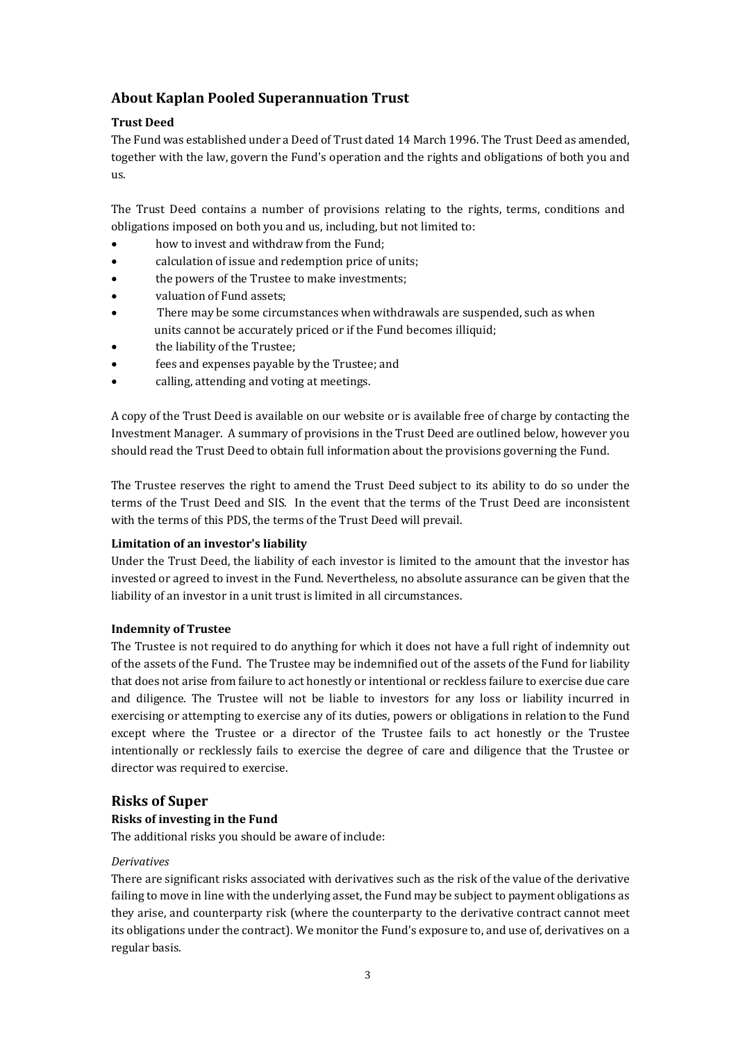# **About Kaplan Pooled Superannuation Trust**

## **Trust Deed**

The Fund was established under a Deed of Trust dated 14 March 1996. The Trust Deed as amended, together with the law, govern the Fund's operation and the rights and obligations of both you and us.

The Trust Deed contains a number of provisions relating to the rights, terms, conditions and obligations imposed on both you and us, including, but not limited to:

- how to invest and withdraw from the Fund;
- calculation of issue and redemption price of units;
- the powers of the Trustee to make investments;
- valuation of Fund assets;
- There may be some circumstances when withdrawals are suspended, such as when units cannot be accurately priced or if the Fund becomes illiquid;
- the liability of the Trustee;
- fees and expenses payable by the Trustee; and
- calling, attending and voting at meetings.

A copy of the Trust Deed is available on our website or is available free of charge by contacting the Investment Manager. A summary of provisions in the Trust Deed are outlined below, however you should read the Trust Deed to obtain full information about the provisions governing the Fund.

The Trustee reserves the right to amend the Trust Deed subject to its ability to do so under the terms of the Trust Deed and SIS. In the event that the terms of the Trust Deed are inconsistent with the terms of this PDS, the terms of the Trust Deed will prevail.

## **Limitation of an investor's liability**

Under the Trust Deed, the liability of each investor is limited to the amount that the investor has invested or agreed to invest in the Fund. Nevertheless, no absolute assurance can be given that the liability of an investor in a unit trust is limited in all circumstances.

## **Indemnity of Trustee**

The Trustee is not required to do anything for which it does not have a full right of indemnity out of the assets of the Fund. The Trustee may be indemnified out of the assets of the Fund for liability that does not arise from failure to act honestly or intentional or reckless failure to exercise due care and diligence. The Trustee will not be liable to investors for any loss or liability incurred in exercising or attempting to exercise any of its duties, powers or obligations in relation to the Fund except where the Trustee or a director of the Trustee fails to act honestly or the Trustee intentionally or recklessly fails to exercise the degree of care and diligence that the Trustee or director was required to exercise.

## **Risks of Super**

## **Risks of investing in the Fund**

The additional risks you should be aware of include:

## *Derivatives*

There are significant risks associated with derivatives such as the risk of the value of the derivative failing to move in line with the underlying asset, the Fund may be subject to payment obligations as they arise, and counterparty risk (where the counterparty to the derivative contract cannot meet its obligations under the contract). We monitor the Fund's exposure to, and use of, derivatives on a regular basis.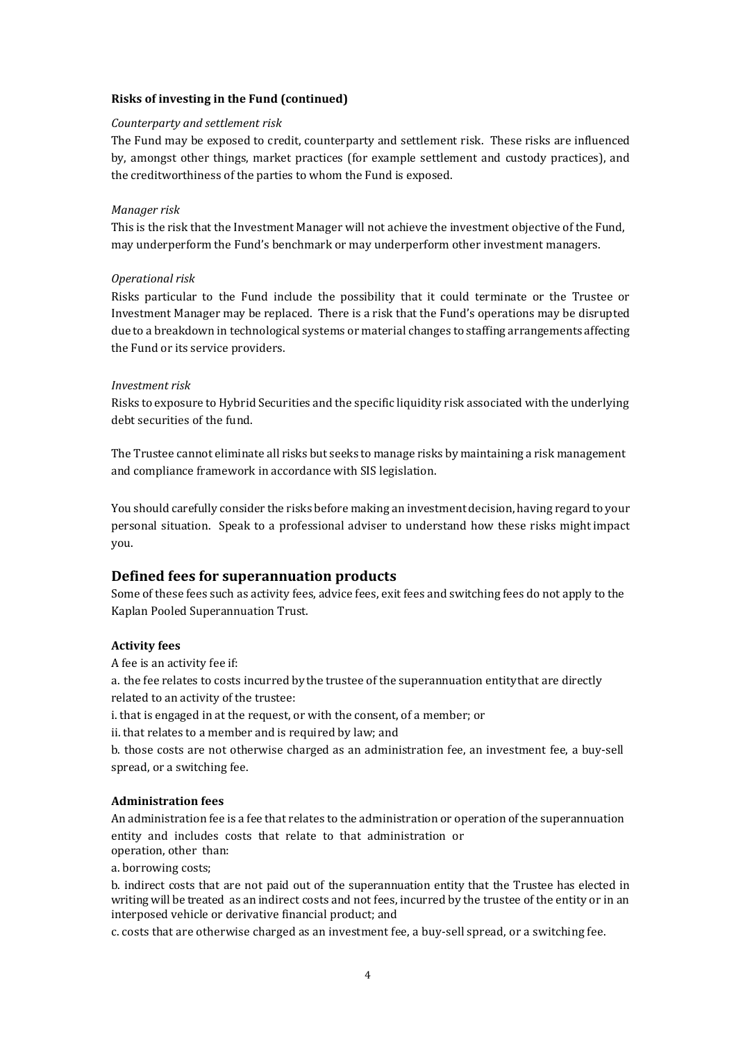### **Risks of investing in the Fund (continued)**

#### *Counterparty and settlement risk*

The Fund may be exposed to credit, counterparty and settlement risk. These risks are influenced by, amongst other things, market practices (for example settlement and custody practices), and the creditworthiness of the parties to whom the Fund is exposed.

#### *Manager risk*

This is the risk that the Investment Manager will not achieve the investment objective of the Fund, may underperform the Fund's benchmark or may underperform other investment managers.

#### *Operational risk*

Risks particular to the Fund include the possibility that it could terminate or the Trustee or Investment Manager may be replaced. There is a risk that the Fund's operations may be disrupted due to a breakdown in technological systems or material changes to staffing arrangements affecting the Fund or its service providers.

#### *Investment risk*

Risks to exposure to Hybrid Securities and the specific liquidity risk associated with the underlying debt securities of the fund.

The Trustee cannot eliminate all risks but seeks to manage risks by maintaining a risk management and compliance framework in accordance with SIS legislation.

You should carefully consider the risks before making an investment decision, having regard to your personal situation. Speak to a professional adviser to understand how these risks might impact you.

## **Defined fees for superannuation products**

Some of these fees such as activity fees, advice fees, exit fees and switching fees do not apply to the Kaplan Pooled Superannuation Trust.

#### **Activity fees**

A fee is an activity fee if:

a. the fee relates to costs incurred bythe trustee of the superannuation entitythat are directly related to an activity of the trustee:

i. that is engaged in at the request, or with the consent, of a member; or

ii. that relates to a member and is required by law; and

b. those costs are not otherwise charged as an administration fee, an investment fee, a buy-sell spread, or a switching fee.

#### **Administration fees**

An administration fee is a fee that relates to the administration or operation of the superannuation entity and includes costs that relate to that administration or operation, other than:

a. borrowing costs;

b. indirect costs that are not paid out of the superannuation entity that the Trustee has elected in writing will be treated as an indirect costs and not fees, incurred by the trustee of the entity or in an interposed vehicle or derivative financial product; and

c. costs that are otherwise charged as an investment fee, a buy-sell spread, or a switching fee.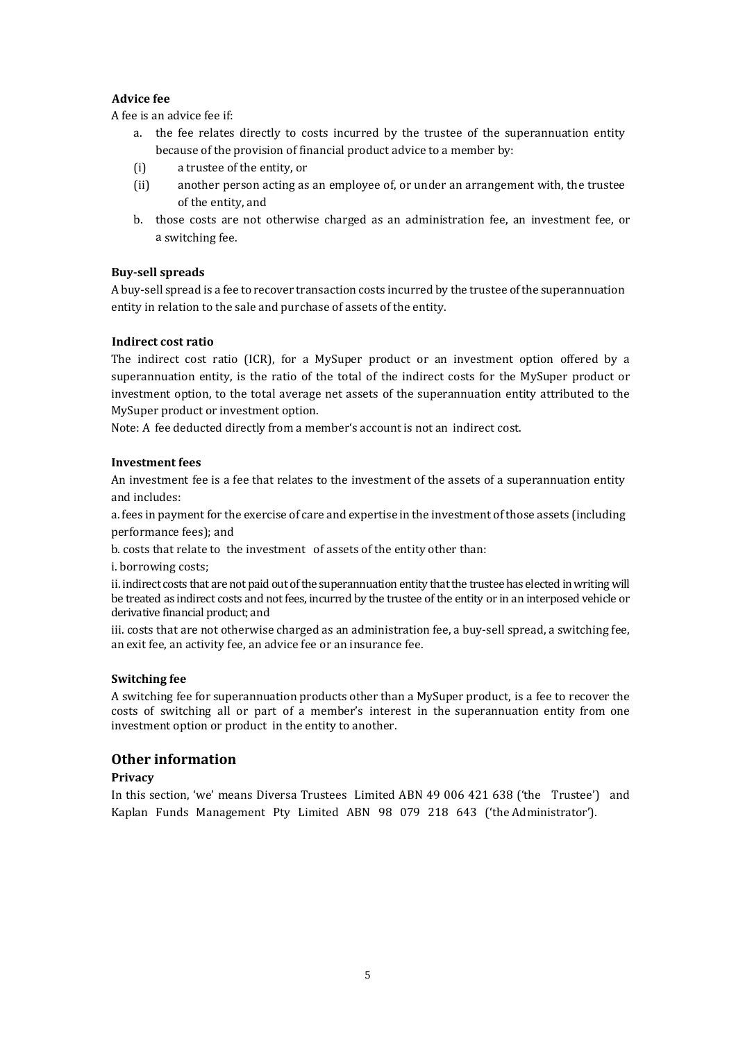## **Advice fee**

A fee is an advice fee if:

- a. the fee relates directly to costs incurred by the trustee of the superannuation entity because of the provision of financial product advice to a member by:
- (i) a trustee of the entity, or
- (ii) another person acting as an employee of, or under an arrangement with, the trustee of the entity, and
- b. those costs are not otherwise charged as an administration fee, an investment fee, or a switching fee.

## **Buy‐sell spreads**

A buy‐sell spread is a fee to recover transaction costs incurred by the trustee ofthe superannuation entity in relation to the sale and purchase of assets of the entity.

### **Indirect cost ratio**

The indirect cost ratio (ICR), for a MySuper product or an investment option offered by a superannuation entity, is the ratio of the total of the indirect costs for the MySuper product or investment option, to the total average net assets of the superannuation entity attributed to the MySuper product or investment option.

Note: A fee deducted directly from a member's account is not an indirect cost.

#### **Investment fees**

An investment fee is a fee that relates to the investment of the assets of a superannuation entity and includes:

a. fees in payment for the exercise of care and expertise in the investment of those assets (including performance fees); and

b. costs that relate to the investment of assets of the entity other than:

i. borrowing costs;

ii. indirect costs that are not paid out of the superannuation entity that the trustee has elected in writing will be treated as indirect costs and not fees, incurred by the trustee of the entity or in an interposed vehicle or derivative financial product; and

iii. costs that are not otherwise charged as an administration fee, a buy-sell spread, a switching fee, an exit fee, an activity fee, an advice fee or an insurance fee.

#### **Switching fee**

A switching fee for superannuation products other than a MySuper product, is a fee to recover the costs of switching all or part of a member's interest in the superannuation entity from one investment option or product in the entity to another.

## **Other information**

## **Privacy**

In this section, 'we' means Diversa Trustees Limited ABN 49 006 421 638 ('the Trustee') and Kaplan Funds Management Pty Limited ABN 98 079 218 643 ('the Administrator').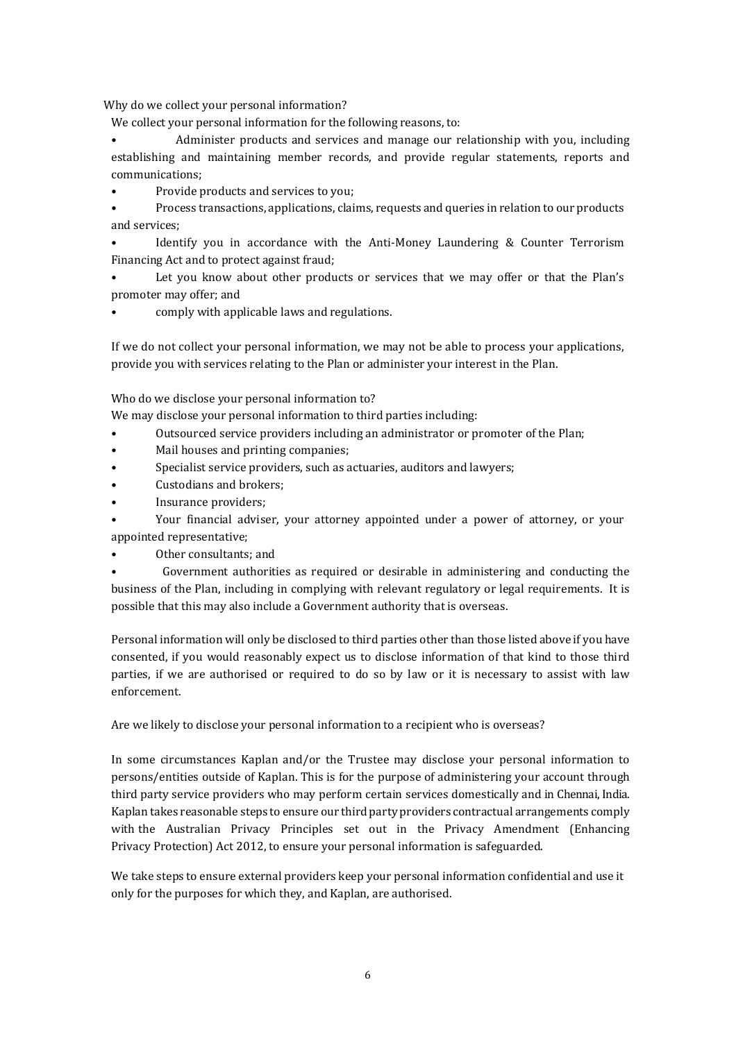Why do we collect your personal information?

We collect your personal information for the following reasons, to:

• Administer products and services and manage our relationship with you, including establishing and maintaining member records, and provide regular statements, reports and communications;

• Provide products and services to you;

• Process transactions, applications, claims, requests and queries in relation to our products and services;

Identify you in accordance with the Anti-Money Laundering & Counter Terrorism Financing Act and to protect against fraud;

Let you know about other products or services that we may offer or that the Plan's promoter may offer; and

• comply with applicable laws and regulations.

If we do not collect your personal information, we may not be able to process your applications, provide you with services relating to the Plan or administer your interest in the Plan.

Who do we disclose your personal information to?

We may disclose your personal information to third parties including:

- Outsourced service providers including an administrator or promoter of the Plan;
- Mail houses and printing companies;
- Specialist service providers, such as actuaries, auditors and lawyers;
- Custodians and brokers;
- Insurance providers;

• Your financial adviser, your attorney appointed under a power of attorney, or your appointed representative;

• Other consultants; and

• Government authorities as required or desirable in administering and conducting the business of the Plan, including in complying with relevant regulatory or legal requirements. It is possible that this may also include a Government authority that is overseas.

Personal information will only be disclosed to third parties other than those listed above if you have consented, if you would reasonably expect us to disclose information of that kind to those third parties, if we are authorised or required to do so by law or it is necessary to assist with law enforcement.

Are we likely to disclose your personal information to a recipient who is overseas?

In some circumstances Kaplan and/or the Trustee may disclose your personal information to persons/entities outside of Kaplan. This is for the purpose of administering your account through third party service providers who may perform certain services domestically and in Chennai, India. Kaplan takes reasonable steps to ensure our third party providers contractual arrangements comply with the Australian Privacy Principles set out in the Privacy Amendment (Enhancing Privacy Protection) Act 2012, to ensure your personal information is safeguarded.

We take steps to ensure external providers keep your personal information confidential and use it only for the purposes for which they, and Kaplan, are authorised.